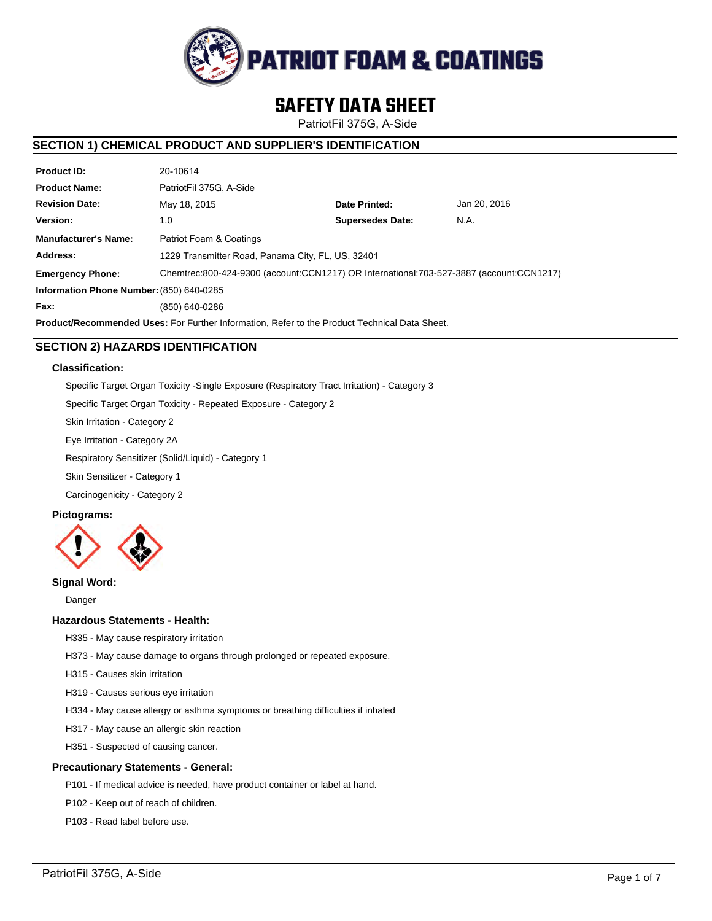

# **SAFETY DATA SHEET**

PatriotFil 375G, A-Side

# **SECTION 1) CHEMICAL PRODUCT AND SUPPLIER'S IDENTIFICATION**

| <b>Product ID:</b>                                                                                   | 20-10614                                                                                |                         |              |  |  |
|------------------------------------------------------------------------------------------------------|-----------------------------------------------------------------------------------------|-------------------------|--------------|--|--|
| <b>Product Name:</b>                                                                                 | PatriotFil 375G. A-Side                                                                 |                         |              |  |  |
| <b>Revision Date:</b>                                                                                | May 18, 2015                                                                            | Date Printed:           | Jan 20, 2016 |  |  |
| Version:                                                                                             | 1.0                                                                                     | <b>Supersedes Date:</b> | N.A.         |  |  |
| <b>Manufacturer's Name:</b>                                                                          | Patriot Foam & Coatings                                                                 |                         |              |  |  |
| Address:                                                                                             | 1229 Transmitter Road, Panama City, FL, US, 32401                                       |                         |              |  |  |
| <b>Emergency Phone:</b>                                                                              | Chemtrec:800-424-9300 (account:CCN1217) OR International:703-527-3887 (account:CCN1217) |                         |              |  |  |
| Information Phone Number: (850) 640-0285                                                             |                                                                                         |                         |              |  |  |
| Fax:                                                                                                 | (850) 640-0286                                                                          |                         |              |  |  |
| <b>Product/Recommended Uses:</b> For Further Information, Refer to the Product Technical Data Sheet. |                                                                                         |                         |              |  |  |

# **SECTION 2) HAZARDS IDENTIFICATION**

# **Classification:**

Specific Target Organ Toxicity -Single Exposure (Respiratory Tract Irritation) - Category 3

Specific Target Organ Toxicity - Repeated Exposure - Category 2

Skin Irritation - Category 2

Eye Irritation - Category 2A

Respiratory Sensitizer (Solid/Liquid) - Category 1

Skin Sensitizer - Category 1

Carcinogenicity - Category 2

# **Pictograms:**



# **Signal Word:**

Danger

# **Hazardous Statements - Health:**

- H335 May cause respiratory irritation
- H373 May cause damage to organs through prolonged or repeated exposure.
- H315 Causes skin irritation
- H319 Causes serious eye irritation
- H334 May cause allergy or asthma symptoms or breathing difficulties if inhaled
- H317 May cause an allergic skin reaction
- H351 Suspected of causing cancer.

# **Precautionary Statements - General:**

- P101 If medical advice is needed, have product container or label at hand.
- P102 Keep out of reach of children.
- P103 Read label before use.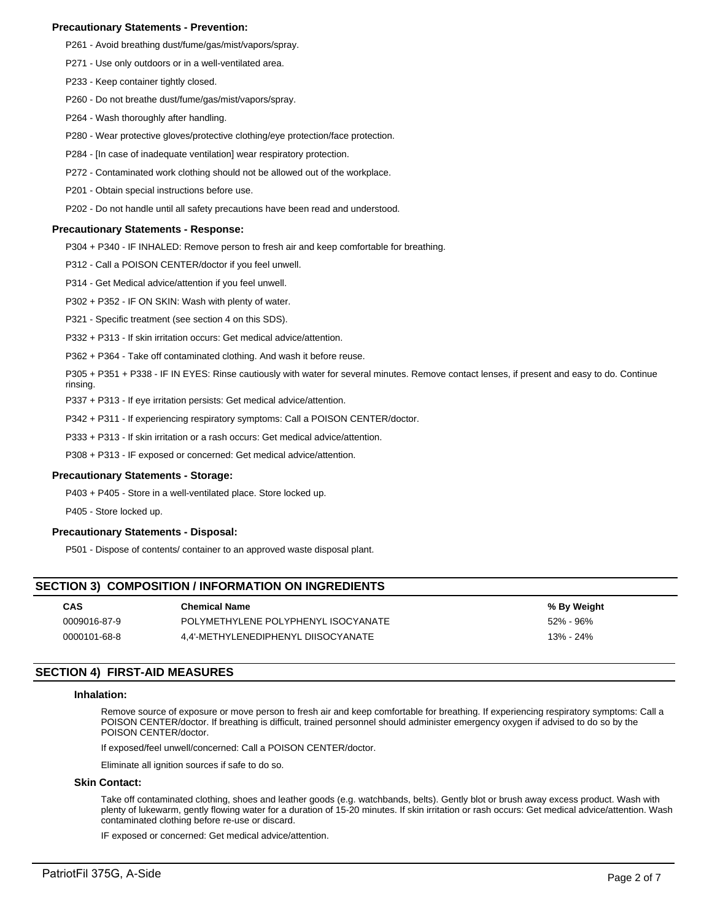## **Precautionary Statements - Prevention:**

- P261 Avoid breathing dust/fume/gas/mist/vapors/spray.
- P271 Use only outdoors or in a well-ventilated area.
- P233 Keep container tightly closed.
- P260 Do not breathe dust/fume/gas/mist/vapors/spray.
- P264 Wash thoroughly after handling.
- P280 Wear protective gloves/protective clothing/eye protection/face protection.
- P284 [In case of inadequate ventilation] wear respiratory protection.
- P272 Contaminated work clothing should not be allowed out of the workplace.
- P201 Obtain special instructions before use.
- P202 Do not handle until all safety precautions have been read and understood.

#### **Precautionary Statements - Response:**

P304 + P340 - IF INHALED: Remove person to fresh air and keep comfortable for breathing.

P312 - Call a POISON CENTER/doctor if you feel unwell.

- P314 Get Medical advice/attention if you feel unwell.
- P302 + P352 IF ON SKIN: Wash with plenty of water.
- P321 Specific treatment (see section 4 on this SDS).
- P332 + P313 If skin irritation occurs: Get medical advice/attention.
- P362 + P364 Take off contaminated clothing. And wash it before reuse.
- P305 + P351 + P338 IF IN EYES: Rinse cautiously with water for several minutes. Remove contact lenses, if present and easy to do. Continue rinsing.
- P337 + P313 If eye irritation persists: Get medical advice/attention.
- P342 + P311 If experiencing respiratory symptoms: Call a POISON CENTER/doctor.
- P333 + P313 If skin irritation or a rash occurs: Get medical advice/attention.
- P308 + P313 IF exposed or concerned: Get medical advice/attention.

## **Precautionary Statements - Storage:**

P403 + P405 - Store in a well-ventilated place. Store locked up.

P405 - Store locked up.

## **Precautionary Statements - Disposal:**

P501 - Dispose of contents/ container to an approved waste disposal plant.

# **SECTION 3) COMPOSITION / INFORMATION ON INGREDIENTS**

| <b>CAS</b>   | <b>Chemical Name</b>                | % By Weight |
|--------------|-------------------------------------|-------------|
| 0009016-87-9 | POLYMETHYLENE POLYPHENYL ISOCYANATE | 52% - 96%   |
| 0000101-68-8 | 4.4'-METHYLENEDIPHENYL DIISOCYANATE | 13% - 24%   |

# **SECTION 4) FIRST-AID MEASURES**

#### **Inhalation:**

Remove source of exposure or move person to fresh air and keep comfortable for breathing. If experiencing respiratory symptoms: Call a POISON CENTER/doctor. If breathing is difficult, trained personnel should administer emergency oxygen if advised to do so by the POISON CENTER/doctor.

If exposed/feel unwell/concerned: Call a POISON CENTER/doctor.

Eliminate all ignition sources if safe to do so.

#### **Skin Contact:**

Take off contaminated clothing, shoes and leather goods (e.g. watchbands, belts). Gently blot or brush away excess product. Wash with plenty of lukewarm, gently flowing water for a duration of 15-20 minutes. If skin irritation or rash occurs: Get medical advice/attention. Wash contaminated clothing before re-use or discard.

IF exposed or concerned: Get medical advice/attention.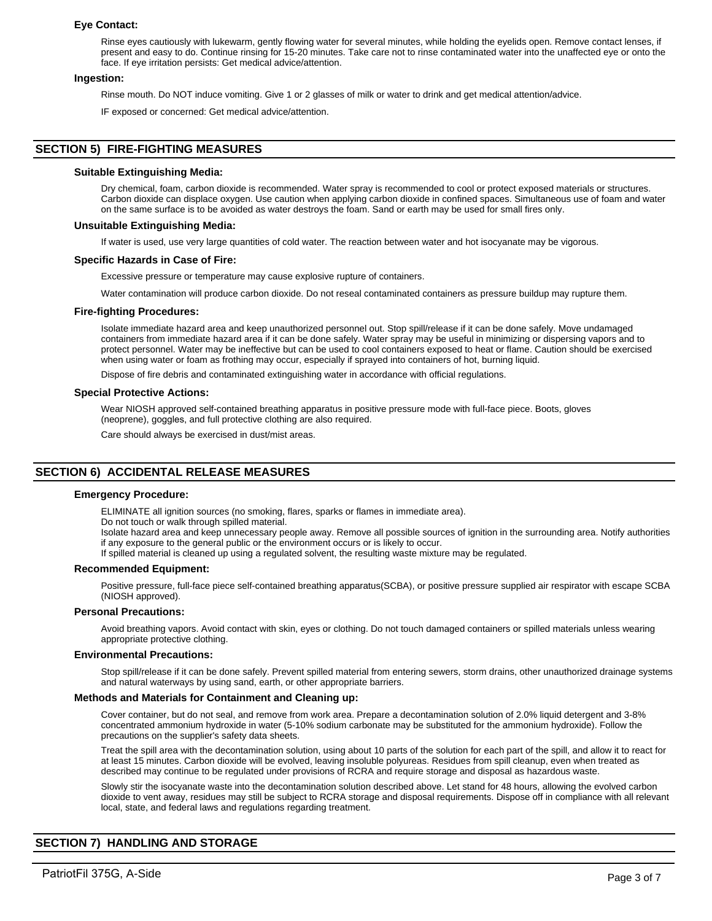## **Eye Contact:**

Rinse eyes cautiously with lukewarm, gently flowing water for several minutes, while holding the eyelids open. Remove contact lenses, if present and easy to do. Continue rinsing for 15-20 minutes. Take care not to rinse contaminated water into the unaffected eye or onto the face. If eye irritation persists: Get medical advice/attention.

#### **Ingestion:**

Rinse mouth. Do NOT induce vomiting. Give 1 or 2 glasses of milk or water to drink and get medical attention/advice.

IF exposed or concerned: Get medical advice/attention.

# **SECTION 5) FIRE-FIGHTING MEASURES**

#### **Suitable Extinguishing Media:**

Dry chemical, foam, carbon dioxide is recommended. Water spray is recommended to cool or protect exposed materials or structures. Carbon dioxide can displace oxygen. Use caution when applying carbon dioxide in confined spaces. Simultaneous use of foam and water on the same surface is to be avoided as water destroys the foam. Sand or earth may be used for small fires only.

#### **Unsuitable Extinguishing Media:**

If water is used, use very large quantities of cold water. The reaction between water and hot isocyanate may be vigorous.

#### **Specific Hazards in Case of Fire:**

Excessive pressure or temperature may cause explosive rupture of containers.

Water contamination will produce carbon dioxide. Do not reseal contaminated containers as pressure buildup may rupture them.

#### **Fire-fighting Procedures:**

Isolate immediate hazard area and keep unauthorized personnel out. Stop spill/release if it can be done safely. Move undamaged containers from immediate hazard area if it can be done safely. Water spray may be useful in minimizing or dispersing vapors and to protect personnel. Water may be ineffective but can be used to cool containers exposed to heat or flame. Caution should be exercised when using water or foam as frothing may occur, especially if sprayed into containers of hot, burning liquid.

Dispose of fire debris and contaminated extinguishing water in accordance with official regulations.

#### **Special Protective Actions:**

Wear NIOSH approved self-contained breathing apparatus in positive pressure mode with full-face piece. Boots, gloves (neoprene), goggles, and full protective clothing are also required.

Care should always be exercised in dust/mist areas.

# **SECTION 6) ACCIDENTAL RELEASE MEASURES**

#### **Emergency Procedure:**

ELIMINATE all ignition sources (no smoking, flares, sparks or flames in immediate area).

Do not touch or walk through spilled material.

Isolate hazard area and keep unnecessary people away. Remove all possible sources of ignition in the surrounding area. Notify authorities if any exposure to the general public or the environment occurs or is likely to occur.

If spilled material is cleaned up using a regulated solvent, the resulting waste mixture may be regulated.

#### **Recommended Equipment:**

Positive pressure, full-face piece self-contained breathing apparatus(SCBA), or positive pressure supplied air respirator with escape SCBA (NIOSH approved).

#### **Personal Precautions:**

Avoid breathing vapors. Avoid contact with skin, eyes or clothing. Do not touch damaged containers or spilled materials unless wearing appropriate protective clothing.

#### **Environmental Precautions:**

Stop spill/release if it can be done safely. Prevent spilled material from entering sewers, storm drains, other unauthorized drainage systems and natural waterways by using sand, earth, or other appropriate barriers.

# **Methods and Materials for Containment and Cleaning up:**

Cover container, but do not seal, and remove from work area. Prepare a decontamination solution of 2.0% liquid detergent and 3-8% concentrated ammonium hydroxide in water (5-10% sodium carbonate may be substituted for the ammonium hydroxide). Follow the precautions on the supplier's safety data sheets.

Treat the spill area with the decontamination solution, using about 10 parts of the solution for each part of the spill, and allow it to react for at least 15 minutes. Carbon dioxide will be evolved, leaving insoluble polyureas. Residues from spill cleanup, even when treated as described may continue to be regulated under provisions of RCRA and require storage and disposal as hazardous waste.

Slowly stir the isocyanate waste into the decontamination solution described above. Let stand for 48 hours, allowing the evolved carbon dioxide to vent away, residues may still be subject to RCRA storage and disposal requirements. Dispose off in compliance with all relevant local, state, and federal laws and regulations regarding treatment.

# **SECTION 7) HANDLING AND STORAGE**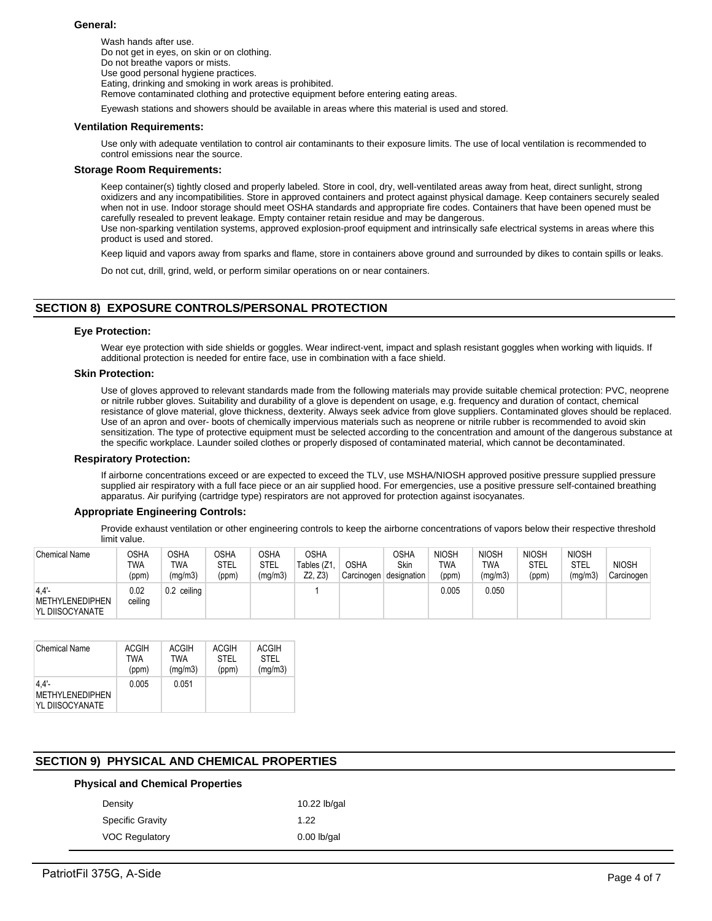## **General:**

Wash hands after use. Do not get in eyes, on skin or on clothing. Do not breathe vapors or mists. Use good personal hygiene practices. Eating, drinking and smoking in work areas is prohibited. Remove contaminated clothing and protective equipment before entering eating areas.

Eyewash stations and showers should be available in areas where this material is used and stored.

#### **Ventilation Requirements:**

Use only with adequate ventilation to control air contaminants to their exposure limits. The use of local ventilation is recommended to control emissions near the source.

## **Storage Room Requirements:**

Keep container(s) tightly closed and properly labeled. Store in cool, dry, well-ventilated areas away from heat, direct sunlight, strong oxidizers and any incompatibilities. Store in approved containers and protect against physical damage. Keep containers securely sealed when not in use. Indoor storage should meet OSHA standards and appropriate fire codes. Containers that have been opened must be carefully resealed to prevent leakage. Empty container retain residue and may be dangerous.

Use non-sparking ventilation systems, approved explosion-proof equipment and intrinsically safe electrical systems in areas where this product is used and stored.

Keep liquid and vapors away from sparks and flame, store in containers above ground and surrounded by dikes to contain spills or leaks.

Do not cut, drill, grind, weld, or perform similar operations on or near containers.

# **SECTION 8) EXPOSURE CONTROLS/PERSONAL PROTECTION**

## **Eye Protection:**

Wear eye protection with side shields or goggles. Wear indirect-vent, impact and splash resistant goggles when working with liquids. If additional protection is needed for entire face, use in combination with a face shield.

#### **Skin Protection:**

Use of gloves approved to relevant standards made from the following materials may provide suitable chemical protection: PVC, neoprene or nitrile rubber gloves. Suitability and durability of a glove is dependent on usage, e.g. frequency and duration of contact, chemical resistance of glove material, glove thickness, dexterity. Always seek advice from glove suppliers. Contaminated gloves should be replaced. Use of an apron and over- boots of chemically impervious materials such as neoprene or nitrile rubber is recommended to avoid skin sensitization. The type of protective equipment must be selected according to the concentration and amount of the dangerous substance at the specific workplace. Launder soiled clothes or properly disposed of contaminated material, which cannot be decontaminated.

#### **Respiratory Protection:**

If airborne concentrations exceed or are expected to exceed the TLV, use MSHA/NIOSH approved positive pressure supplied pressure supplied air respiratory with a full face piece or an air supplied hood. For emergencies, use a positive pressure self-contained breathing apparatus. Air purifying (cartridge type) respirators are not approved for protection against isocyanates.

## **Appropriate Engineering Controls:**

Provide exhaust ventilation or other engineering controls to keep the airborne concentrations of vapors below their respective threshold limit value.

| <b>Chemical Name</b>                       | OSHA<br>TWA<br>(ppm) | OSHA<br>TWA<br>(mg/m3) | <b>OSHA</b><br>STEL<br>(ppm) | OSHA<br>STEL<br>(mg/m3) | <b>OSHA</b><br>Tables (Z1,<br>Z2. Z3 | <b>OSHA</b><br>Carcinogen | OSHA<br>Skin<br>designation | <b>NIOSH</b><br><b>TWA</b><br>(ppm) | <b>NIOSH</b><br>TWA<br>(mg/m3) | <b>NIOSH</b><br><b>STEL</b><br>(ppm) | <b>NIOSH</b><br>STEL<br>(mg/m3) | <b>NIOSH</b><br>Carcinogen |
|--------------------------------------------|----------------------|------------------------|------------------------------|-------------------------|--------------------------------------|---------------------------|-----------------------------|-------------------------------------|--------------------------------|--------------------------------------|---------------------------------|----------------------------|
| 4.4'<br>METHYLENEDIPHEN<br>YL DIISOCYANATE | 0.02<br>ceiling      | $0.2$ ceiling          |                              |                         |                                      |                           |                             | 0.005                               | 0.050                          |                                      |                                 |                            |

| <b>Chemical Name</b>                              | ACGIH | ACGIH   | <b>ACGIH</b> | ACGIH       |
|---------------------------------------------------|-------|---------|--------------|-------------|
|                                                   | TWA   | TWA     | <b>STEL</b>  | <b>STEL</b> |
|                                                   | (ppm) | (mg/m3) | (ppm)        | (mg/m3)     |
| 4.4'<br><b>METHYLENEDIPHEN</b><br>YL DIISOCYANATE | 0.005 | 0.051   |              |             |

# **SECTION 9) PHYSICAL AND CHEMICAL PROPERTIES**

## **Physical and Chemical Properties**

| 10.22 lb/gal  |
|---------------|
| 1.22          |
| $0.00$ lb/gal |
|               |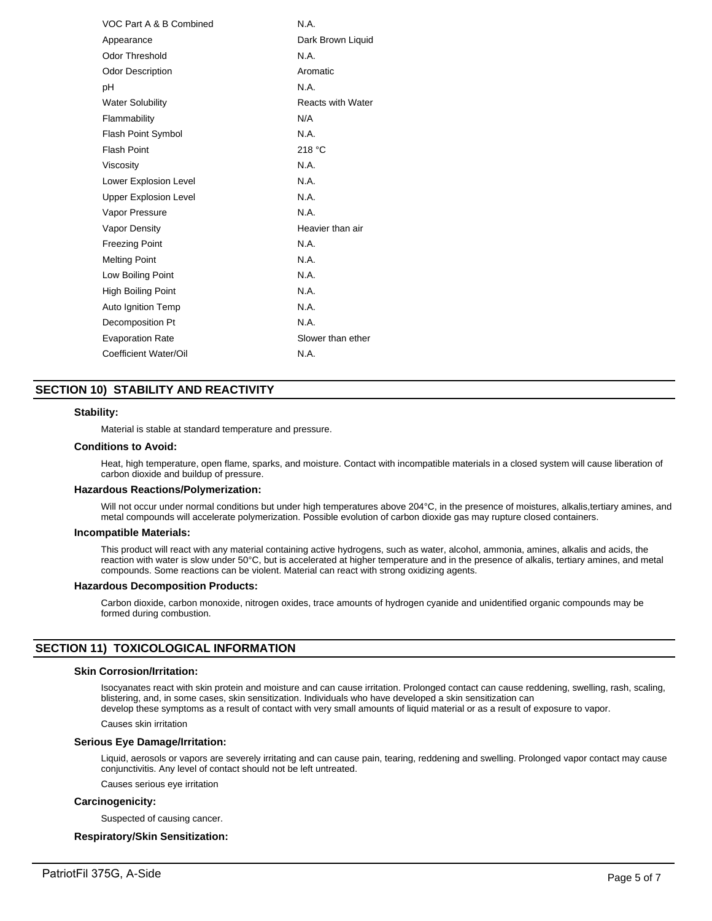| VOC Part A & B Combined      | N.A.                     |
|------------------------------|--------------------------|
| Appearance                   | Dark Brown Liguid        |
| Odor Threshold               | N.A.                     |
| <b>Odor Description</b>      | Aromatic                 |
| рH                           | N.A.                     |
| <b>Water Solubility</b>      | <b>Reacts with Water</b> |
| Flammability                 | N/A                      |
| <b>Flash Point Symbol</b>    | N.A.                     |
| <b>Flash Point</b>           | 218 °C                   |
| Viscosity                    | N.A.                     |
| Lower Explosion Level        | N.A.                     |
| <b>Upper Explosion Level</b> | N.A.                     |
| Vapor Pressure               | N.A.                     |
| Vapor Density                | Heavier than air         |
| <b>Freezing Point</b>        | N.A.                     |
| <b>Melting Point</b>         | N.A.                     |
| Low Boiling Point            | N.A.                     |
| High Boiling Point           | N.A.                     |
| Auto Ignition Temp           | N.A.                     |
| Decomposition Pt             | N.A.                     |
| <b>Evaporation Rate</b>      | Slower than ether        |
| Coefficient Water/Oil        | N.A.                     |

# **SECTION 10) STABILITY AND REACTIVITY**

#### **Stability:**

Material is stable at standard temperature and pressure.

#### **Conditions to Avoid:**

Heat, high temperature, open flame, sparks, and moisture. Contact with incompatible materials in a closed system will cause liberation of carbon dioxide and buildup of pressure.

#### **Hazardous Reactions/Polymerization:**

Will not occur under normal conditions but under high temperatures above 204°C, in the presence of moistures, alkalis,tertiary amines, and metal compounds will accelerate polymerization. Possible evolution of carbon dioxide gas may rupture closed containers.

#### **Incompatible Materials:**

This product will react with any material containing active hydrogens, such as water, alcohol, ammonia, amines, alkalis and acids, the reaction with water is slow under 50°C, but is accelerated at higher temperature and in the presence of alkalis, tertiary amines, and metal compounds. Some reactions can be violent. Material can react with strong oxidizing agents.

#### **Hazardous Decomposition Products:**

Carbon dioxide, carbon monoxide, nitrogen oxides, trace amounts of hydrogen cyanide and unidentified organic compounds may be formed during combustion.

# **SECTION 11) TOXICOLOGICAL INFORMATION**

#### **Skin Corrosion/Irritation:**

Isocyanates react with skin protein and moisture and can cause irritation. Prolonged contact can cause reddening, swelling, rash, scaling, blistering, and, in some cases, skin sensitization. Individuals who have developed a skin sensitization can develop these symptoms as a result of contact with very small amounts of liquid material or as a result of exposure to vapor.

Causes skin irritation

#### **Serious Eye Damage/Irritation:**

Liquid, aerosols or vapors are severely irritating and can cause pain, tearing, reddening and swelling. Prolonged vapor contact may cause conjunctivitis. Any level of contact should not be left untreated.

Causes serious eye irritation

#### **Carcinogenicity:**

Suspected of causing cancer.

# **Respiratory/Skin Sensitization:**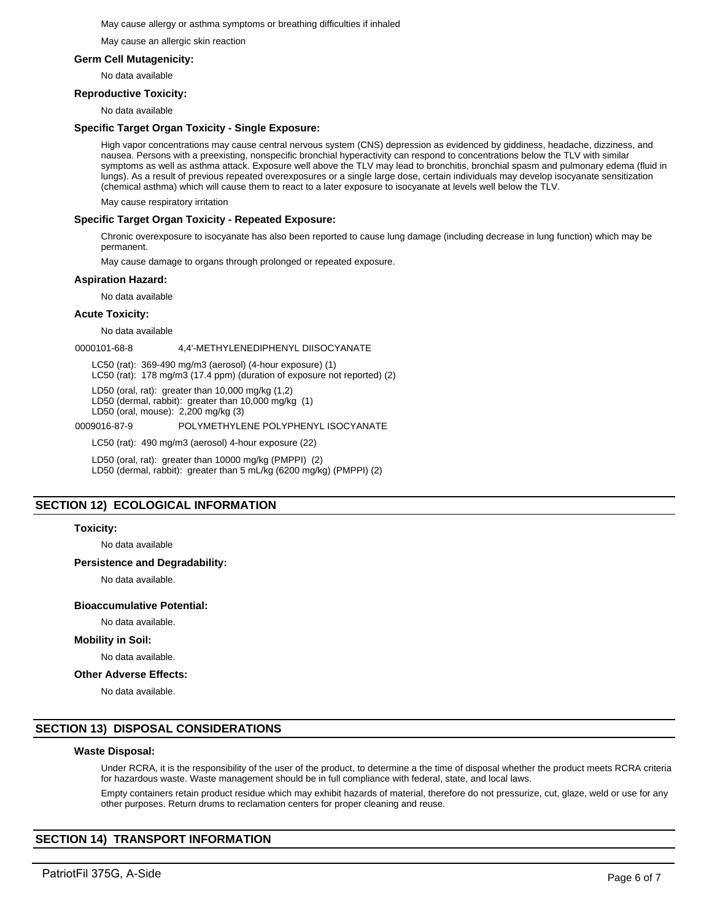#### May cause allergy or asthma symptoms or breathing difficulties if inhaled

May cause an allergic skin reaction

# **Germ Cell Mutagenicity:**

No data available

## **Reproductive Toxicity:**

No data available

## **Specific Target Organ Toxicity - Single Exposure:**

High vapor concentrations may cause central nervous system (CNS) depression as evidenced by giddiness, headache, dizziness, and nausea. Persons with a preexisting, nonspecific bronchial hyperactivity can respond to concentrations below the TLV with similar symptoms as well as asthma attack. Exposure well above the TLV may lead to bronchitis, bronchial spasm and pulmonary edema (fluid in lungs). As a result of previous repeated overexposures or a single large dose, certain individuals may develop isocyanate sensitization (chemical asthma) which will cause them to react to a later exposure to isocyanate at levels well below the TLV.

May cause respiratory irritation

## **Specific Target Organ Toxicity - Repeated Exposure:**

Chronic overexposure to isocyanate has also been reported to cause lung damage (including decrease in lung function) which may be permanent.

May cause damage to organs through prolonged or repeated exposure.

## **Aspiration Hazard:**

No data available

## **Acute Toxicity:**

No data available

0000101-68-8 4,4'-METHYLENEDIPHENYL DIISOCYANATE

LC50 (rat): 369-490 mg/m3 (aerosol) (4-hour exposure) (1)

LC50 (rat): 178 mg/m3 (17.4 ppm) (duration of exposure not reported) (2)

LD50 (oral, rat): greater than 10,000 mg/kg (1,2)

LD50 (dermal, rabbit): greater than 10,000 mg/kg (1)

LD50 (oral, mouse): 2,200 mg/kg (3)

## 0009016-87-9 POLYMETHYLENE POLYPHENYL ISOCYANATE

LC50 (rat): 490 mg/m3 (aerosol) 4-hour exposure (22)

LD50 (oral, rat): greater than 10000 mg/kg (PMPPI) (2) LD50 (dermal, rabbit): greater than 5 mL/kg (6200 mg/kg) (PMPPI) (2)

# **SECTION 12) ECOLOGICAL INFORMATION**

## **Toxicity:**

No data available

# **Persistence and Degradability:**

No data available.

## **Bioaccumulative Potential:**

No data available.

## **Mobility in Soil:**

No data available.

#### **Other Adverse Effects:**

No data available.

# **SECTION 13) DISPOSAL CONSIDERATIONS**

#### **Waste Disposal:**

Under RCRA, it is the responsibility of the user of the product, to determine a the time of disposal whether the product meets RCRA criteria for hazardous waste. Waste management should be in full compliance with federal, state, and local laws.

Empty containers retain product residue which may exhibit hazards of material, therefore do not pressurize, cut, glaze, weld or use for any other purposes. Return drums to reclamation centers for proper cleaning and reuse.

# **SECTION 14) TRANSPORT INFORMATION**